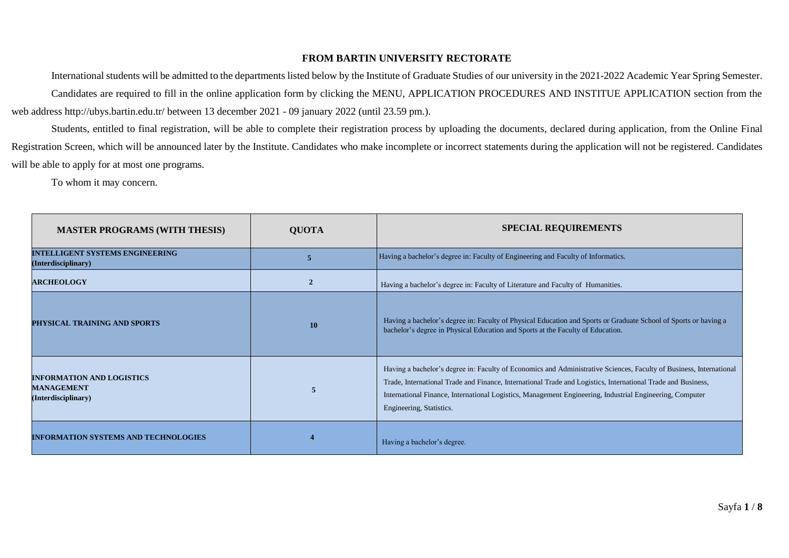### **FROM BARTIN UNIVERSITY RECTORATE**

International students will be admitted to the departments listed below by the Institute of Graduate Studies of our university in the 2021-2022 Academic Year Spring Semester. Candidates are required to fill in the online application form by clicking the MENU, APPLICATION PROCEDURES AND INSTITUE APPLICATION section from the web address http://ubys.bartin.edu.tr/ between 13 december 2021 - 09 january 2022 (until 23.59 pm.).

Students, entitled to final registration, will be able to complete their registration process by uploading the documents, declared during application, from the Online Final Registration Screen, which will be announced later by the Institute. Candidates who make incomplete or incorrect statements during the application will not be registered. Candidates will be able to apply for at most one programs.

To whom it may concern.

| <b>MASTER PROGRAMS (WITH THESIS)</b>                                         | <b>QUOTA</b>   | <b>SPECIAL REQUIREMENTS</b>                                                                                                                                                                                                                                                                                                                                                 |  |
|------------------------------------------------------------------------------|----------------|-----------------------------------------------------------------------------------------------------------------------------------------------------------------------------------------------------------------------------------------------------------------------------------------------------------------------------------------------------------------------------|--|
| <b>INTELLIGENT SYSTEMS ENGINEERING</b><br>(Interdisciplinary)                | 5              | Having a bachelor's degree in: Faculty of Engineering and Faculty of Informatics.                                                                                                                                                                                                                                                                                           |  |
| <b>ARCHEOLOGY</b>                                                            | $\overline{2}$ | Having a bachelor's degree in: Faculty of Literature and Faculty of Humanities.                                                                                                                                                                                                                                                                                             |  |
| PHYSICAL TRAINING AND SPORTS                                                 | 10             | Having a bachelor's degree in: Faculty of Physical Education and Sports or Graduate School of Sports or having a<br>bachelor's degree in Physical Education and Sports at the Faculty of Education.                                                                                                                                                                         |  |
| <b>INFORMATION AND LOGISTICS</b><br><b>MANAGEMENT</b><br>(Interdisciplinary) | 5              | Having a bachelor's degree in: Faculty of Economics and Administrative Sciences, Faculty of Business, International<br>Trade, International Trade and Finance, International Trade and Logistics, International Trade and Business,<br>International Finance, International Logistics, Management Engineering, Industrial Engineering, Computer<br>Engineering, Statistics. |  |
| <b>INFORMATION SYSTEMS AND TECHNOLOGIES</b>                                  |                | Having a bachelor's degree.                                                                                                                                                                                                                                                                                                                                                 |  |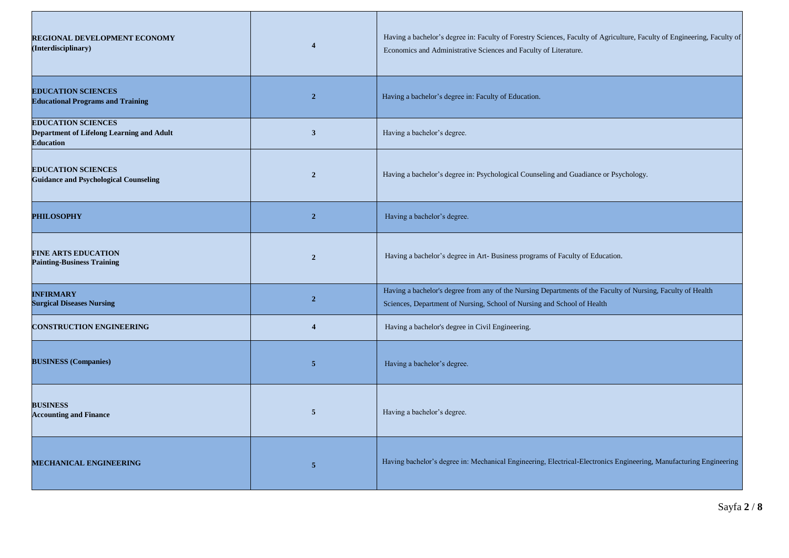| <b>REGIONAL DEVELOPMENT ECONOMY</b><br>(Interdisciplinary)                                 | $\boldsymbol{\Delta}$   | Having a bachelor's degree in: Faculty of Forestry Sciences, Faculty of Agriculture, Faculty of Engineering, Faculty of<br>Economics and Administrative Sciences and Faculty of Literature. |  |
|--------------------------------------------------------------------------------------------|-------------------------|---------------------------------------------------------------------------------------------------------------------------------------------------------------------------------------------|--|
| <b>EDUCATION SCIENCES</b><br><b>Educational Programs and Training</b>                      | $\overline{2}$          | Having a bachelor's degree in: Faculty of Education.                                                                                                                                        |  |
| <b>EDUCATION SCIENCES</b><br>Department of Lifelong Learning and Adult<br><b>Education</b> | $\overline{\mathbf{3}}$ | Having a bachelor's degree.                                                                                                                                                                 |  |
| <b>EDUCATION SCIENCES</b><br><b>Guidance and Psychological Counseling</b>                  | $\overline{2}$          | Having a bachelor's degree in: Psychological Counseling and Guadiance or Psychology.                                                                                                        |  |
| <b>PHILOSOPHY</b>                                                                          | $\overline{\mathbf{2}}$ | Having a bachelor's degree.                                                                                                                                                                 |  |
| <b>FINE ARTS EDUCATION</b><br><b>Painting-Business Training</b>                            | $\overline{2}$          | Having a bachelor's degree in Art-Business programs of Faculty of Education.                                                                                                                |  |
| <b>INFIRMARY</b><br><b>Surgical Diseases Nursing</b>                                       | $\overline{2}$          | Having a bachelor's degree from any of the Nursing Departments of the Faculty of Nursing, Faculty of Health<br>Sciences, Department of Nursing, School of Nursing and School of Health      |  |
| <b>CONSTRUCTION ENGINEERING</b>                                                            | $\overline{4}$          | Having a bachelor's degree in Civil Engineering.                                                                                                                                            |  |
| <b>BUSINESS (Companies)</b>                                                                | 5                       | Having a bachelor's degree.                                                                                                                                                                 |  |
| <b>BUSINESS</b><br><b>Accounting and Finance</b>                                           | 5                       | Having a bachelor's degree.                                                                                                                                                                 |  |
| <b>MECHANICAL ENGINEERING</b>                                                              | $\overline{5}$          | Having bachelor's degree in: Mechanical Engineering, Electrical-Electronics Engineering, Manufacturing Engineering                                                                          |  |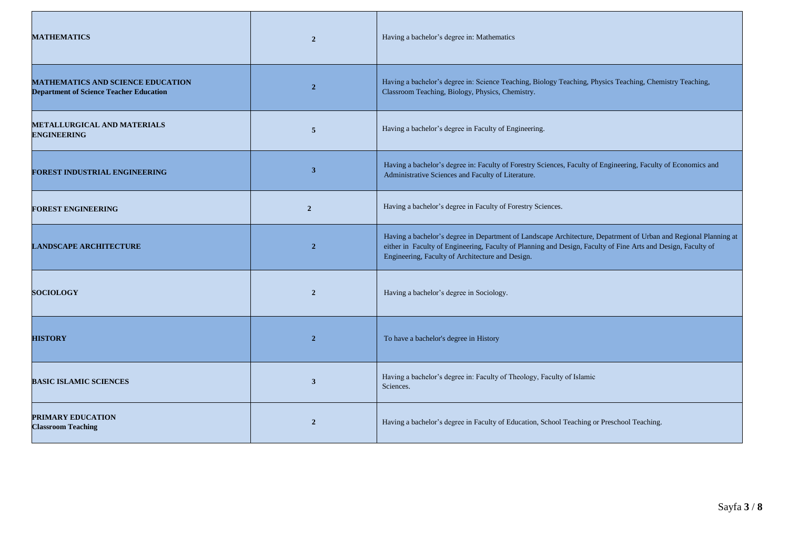| <b>MATHEMATICS</b>                                                                         | $\overline{2}$ | Having a bachelor's degree in: Mathematics                                                                                                                                                                                                                                            |  |
|--------------------------------------------------------------------------------------------|----------------|---------------------------------------------------------------------------------------------------------------------------------------------------------------------------------------------------------------------------------------------------------------------------------------|--|
| <b>MATHEMATICS AND SCIENCE EDUCATION</b><br><b>Department of Science Teacher Education</b> | $\overline{2}$ | Having a bachelor's degree in: Science Teaching, Biology Teaching, Physics Teaching, Chemistry Teaching,<br>Classroom Teaching, Biology, Physics, Chemistry.                                                                                                                          |  |
| <b>METALLURGICAL AND MATERIALS</b><br><b>ENGINEERING</b>                                   | 5              | Having a bachelor's degree in Faculty of Engineering.                                                                                                                                                                                                                                 |  |
| FOREST INDUSTRIAL ENGINEERING                                                              | 3              | Having a bachelor's degree in: Faculty of Forestry Sciences, Faculty of Engineering, Faculty of Economics and<br>Administrative Sciences and Faculty of Literature.                                                                                                                   |  |
| <b>FOREST ENGINEERING</b>                                                                  | $\overline{2}$ | Having a bachelor's degree in Faculty of Forestry Sciences.                                                                                                                                                                                                                           |  |
| <b>LANDSCAPE ARCHITECTURE</b>                                                              | $\overline{2}$ | Having a bachelor's degree in Department of Landscape Architecture, Depatrment of Urban and Regional Planning at<br>either in Faculty of Engineering, Faculty of Planning and Design, Faculty of Fine Arts and Design, Faculty of<br>Engineering, Faculty of Architecture and Design. |  |
| <b>SOCIOLOGY</b>                                                                           | $\overline{2}$ | Having a bachelor's degree in Sociology.                                                                                                                                                                                                                                              |  |
| <b>HISTORY</b>                                                                             | $\overline{2}$ | To have a bachelor's degree in History                                                                                                                                                                                                                                                |  |
| <b>BASIC ISLAMIC SCIENCES</b>                                                              | 3              | Having a bachelor's degree in: Faculty of Theology, Faculty of Islamic<br>Sciences.                                                                                                                                                                                                   |  |
| <b>PRIMARY EDUCATION</b><br><b>Classroom Teaching</b>                                      | $\overline{2}$ | Having a bachelor's degree in Faculty of Education, School Teaching or Preschool Teaching.                                                                                                                                                                                            |  |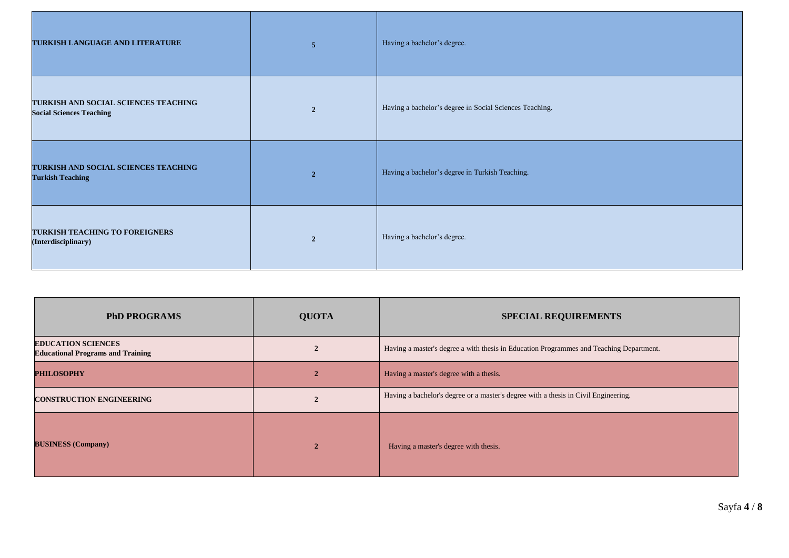| TURKISH LANGUAGE AND LITERATURE                                         | $\overline{5}$ | Having a bachelor's degree.                             |
|-------------------------------------------------------------------------|----------------|---------------------------------------------------------|
| TURKISH AND SOCIAL SCIENCES TEACHING<br><b>Social Sciences Teaching</b> | $\overline{2}$ | Having a bachelor's degree in Social Sciences Teaching. |
| TURKISH AND SOCIAL SCIENCES TEACHING<br><b>Turkish Teaching</b>         | $\overline{2}$ | Having a bachelor's degree in Turkish Teaching.         |
| TURKISH TEACHING TO FOREIGNERS<br>(Interdisciplinary)                   | $\overline{2}$ | Having a bachelor's degree.                             |

| <b>PhD PROGRAMS</b>                                                   | <b>QUOTA</b> | <b>SPECIAL REQUIREMENTS</b>                                                             |  |
|-----------------------------------------------------------------------|--------------|-----------------------------------------------------------------------------------------|--|
| <b>EDUCATION SCIENCES</b><br><b>Educational Programs and Training</b> |              | Having a master's degree a with thesis in Education Programmes and Teaching Department. |  |
| <b>PHILOSOPHY</b>                                                     |              | Having a master's degree with a thesis.                                                 |  |
| <b>CONSTRUCTION ENGINEERING</b>                                       |              | Having a bachelor's degree or a master's degree with a thesis in Civil Engineering.     |  |
| <b>BUSINESS (Company)</b>                                             |              | Having a master's degree with thesis.                                                   |  |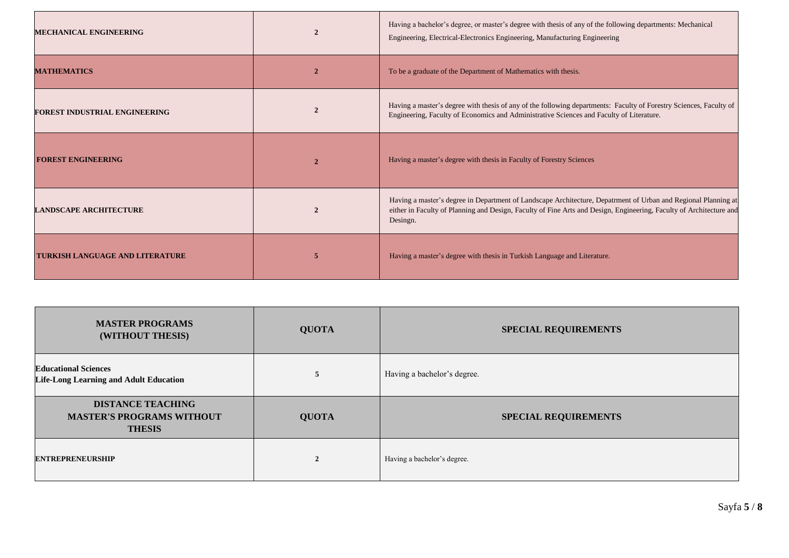| <b>MECHANICAL ENGINEERING</b>          |               | Having a bachelor's degree, or master's degree with thesis of any of the following departments: Mechanical<br>Engineering, Electrical-Electronics Engineering, Manufacturing Engineering                                                          |  |
|----------------------------------------|---------------|---------------------------------------------------------------------------------------------------------------------------------------------------------------------------------------------------------------------------------------------------|--|
| <b>MATHEMATICS</b>                     |               | To be a graduate of the Department of Mathematics with thesis.                                                                                                                                                                                    |  |
| <b>FOREST INDUSTRIAL ENGINEERING</b>   |               | Having a master's degree with thesis of any of the following departments: Faculty of Forestry Sciences, Faculty of<br>Engineering, Faculty of Economics and Administrative Sciences and Faculty of Literature.                                    |  |
| <b>FOREST ENGINEERING</b>              | 2             | Having a master's degree with thesis in Faculty of Forestry Sciences                                                                                                                                                                              |  |
| <b>LANDSCAPE ARCHITECTURE</b>          | $\mathcal{D}$ | Having a master's degree in Department of Landscape Architecture, Depatrment of Urban and Regional Planning at<br>either in Faculty of Planning and Design, Faculty of Fine Arts and Design, Engineering, Faculty of Architecture and<br>Desingn. |  |
| <b>TURKISH LANGUAGE AND LITERATURE</b> | 5             | Having a master's degree with thesis in Turkish Language and Literature.                                                                                                                                                                          |  |

| <b>MASTER PROGRAMS</b><br>(WITHOUT THESIS)                                    | <b>QUOTA</b>   | <b>SPECIAL REQUIREMENTS</b> |  |
|-------------------------------------------------------------------------------|----------------|-----------------------------|--|
| <b>Educational Sciences</b><br><b>Life-Long Learning and Adult Education</b>  | 5              | Having a bachelor's degree. |  |
| <b>DISTANCE TEACHING</b><br><b>MASTER'S PROGRAMS WITHOUT</b><br><b>THESIS</b> | <b>QUOTA</b>   | <b>SPECIAL REQUIREMENTS</b> |  |
| <b>ENTREPRENEURSHIP</b>                                                       | $\overline{2}$ | Having a bachelor's degree. |  |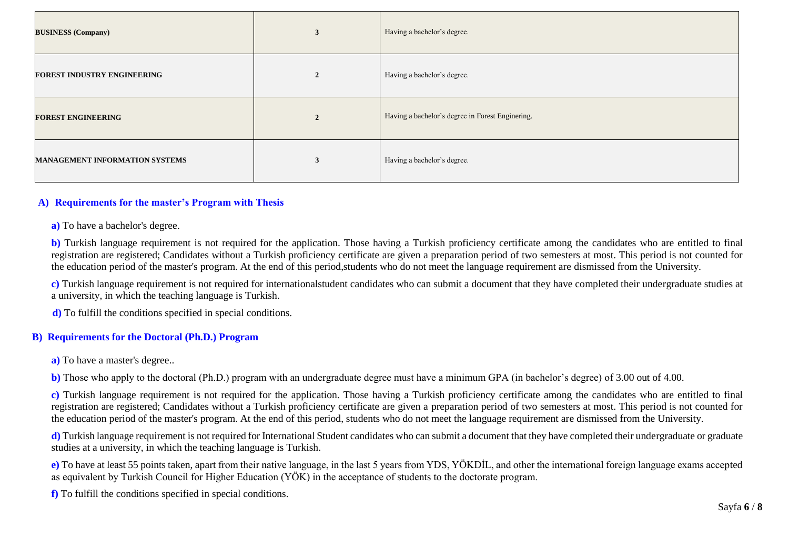| <b>BUSINESS (Company)</b>             | 3                  | Having a bachelor's degree.                      |
|---------------------------------------|--------------------|--------------------------------------------------|
| <b>FOREST INDUSTRY ENGINEERING</b>    | $\rightarrow$<br>Z | Having a bachelor's degree.                      |
| <b>FOREST ENGINEERING</b>             | $\mathbf{2}$       | Having a bachelor's degree in Forest Enginering. |
| <b>MANAGEMENT INFORMATION SYSTEMS</b> | 3                  | Having a bachelor's degree.                      |

## **A) Requirements for the master's Program with Thesis**

**a)** To have a bachelor's degree.

**b)** Turkish language requirement is not required for the application. Those having a Turkish proficiency certificate among the candidates who are entitled to final registration are registered; Candidates without a Turkish proficiency certificate are given a preparation period of two semesters at most. This period is not counted for the education period of the master's program. At the end of this period,students who do not meet the language requirement are dismissed from the University.

**c)** Turkish language requirement is not required for internationalstudent candidates who can submit a document that they have completed their undergraduate studies at a university, in which the teaching language is Turkish.

 **d)** To fulfill the conditions specified in special conditions.

#### **B) Requirements for the Doctoral (Ph.D.) Program**

**a**) To have a master's degree..

**b)** Those who apply to the doctoral (Ph.D.) program with an undergraduate degree must have a minimum GPA (in bachelor's degree) of 3.00 out of 4.00.

**c)** Turkish language requirement is not required for the application. Those having a Turkish proficiency certificate among the candidates who are entitled to final registration are registered; Candidates without a Turkish proficiency certificate are given a preparation period of two semesters at most. This period is not counted for the education period of the master's program. At the end of this period, students who do not meet the language requirement are dismissed from the University.

**d)** Turkish language requirement is not required for International Student candidates who can submit a document that they have completed their undergraduate or graduate studies at a university, in which the teaching language is Turkish.

**e)** To have at least 55 points taken, apart from their native language, in the last 5 years from YDS, YÖKDİL, and other the international foreign language exams accepted as equivalent by Turkish Council for Higher Education (YÖK) in the acceptance of students to the doctorate program.

**f)** To fulfill the conditions specified in special conditions.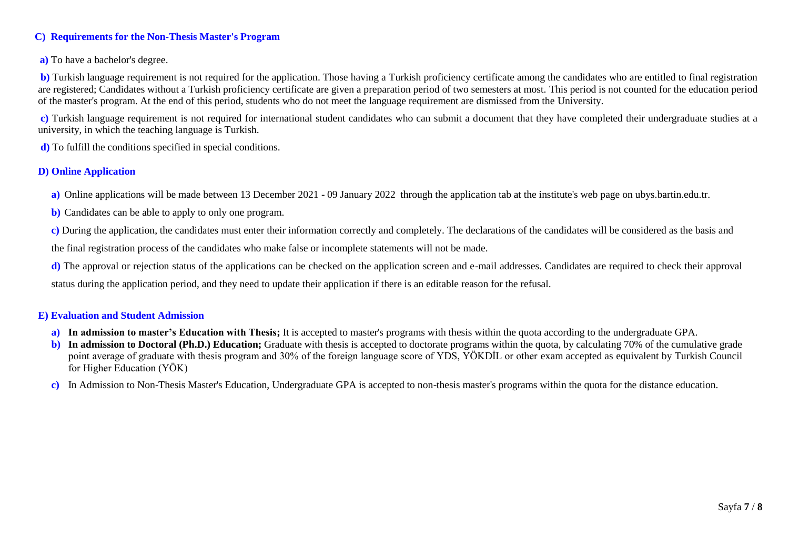# **C) Requirements for the Non-Thesis Master's Program**

## **a)** To have a bachelor's degree.

**b**) Turkish language requirement is not required for the application. Those having a Turkish proficiency certificate among the candidates who are entitled to final registration are registered; Candidates without a Turkish proficiency certificate are given a preparation period of two semesters at most. This period is not counted for the education period of the master's program. At the end of this period, students who do not meet the language requirement are dismissed from the University.

**c)** Turkish language requirement is not required for international student candidates who can submit a document that they have completed their undergraduate studies at a university, in which the teaching language is Turkish.

**d)** To fulfill the conditions specified in special conditions.

# **D) Online Application**

- **a)** Online applications will be made between 13 December 2021 09 January 2022 through the application tab at the institute's web page on ubys.bartin.edu.tr.
- **b)** Candidates can be able to apply to only one program.
- **c)** During the application, the candidates must enter their information correctly and completely. The declarations of the candidates will be considered as the basis and

the final registration process of the candidates who make false or incomplete statements will not be made.

**d)** The approval or rejection status of the applications can be checked on the application screen and e-mail addresses. Candidates are required to check their approval status during the application period, and they need to update their application if there is an editable reason for the refusal.

#### **E) Evaluation and Student Admission**

- **a) In admission to master's Education with Thesis;** It is accepted to master's programs with thesis within the quota according to the undergraduate GPA.
- **b)** In admission to Doctoral (Ph.D.) Education; Graduate with thesis is accepted to doctorate programs within the quota, by calculating 70% of the cumulative grade point average of graduate with thesis program and 30% of the foreign language score of YDS, YÖKDİL or other exam accepted as equivalent by Turkish Council for Higher Education (YÖK)
- **c)** In Admission to Non-Thesis Master's Education, Undergraduate GPA is accepted to non-thesis master's programs within the quota for the distance education.